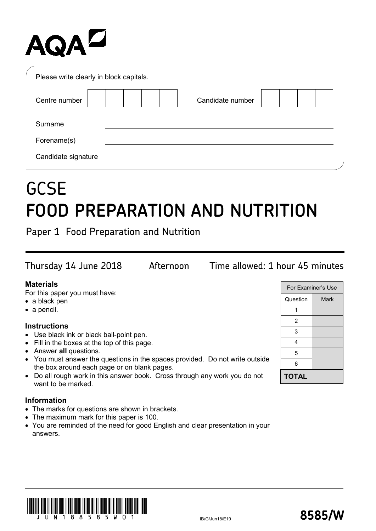# AQAZ

| Please write clearly in block capitals. |                  |  |
|-----------------------------------------|------------------|--|
| Centre number                           | Candidate number |  |
| Surname                                 |                  |  |
| Forename(s)                             |                  |  |
| Candidate signature                     |                  |  |

## **GCSE FOOD PREPARATION AND NUTRITION**

Paper 1 Food Preparation and Nutrition

| Thursday 14 June 2018 | Afternoon | Time allowed: 1 hour 45 minutes |
|-----------------------|-----------|---------------------------------|
| <b>Materials</b>      |           | For Examiner's Use              |

For this paper you must have:

- a black pen
- a pencil.

#### **Instructions**

- Use black ink or black ball-point pen.
- Fill in the boxes at the top of this page.
- Answer **all** questions.
- You must answer the questions in the spaces provided. Do not write outside the box around each page or on blank pages.
- Do all rough work in this answer book. Cross through any work you do not want to be marked.

#### **Information**

- The marks for questions are shown in brackets.
- The maximum mark for this paper is 100.
- You are reminded of the need for good English and clear presentation in your answers.





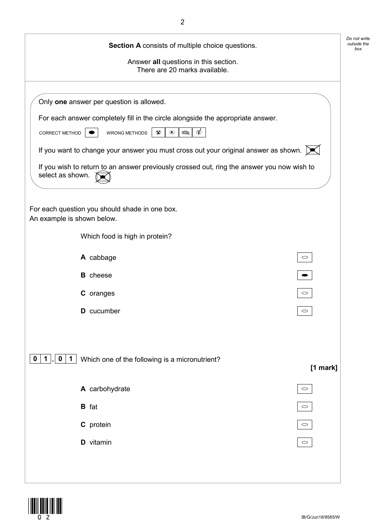| Section A consists of multiple choice questions.                                                                               |                     | Do not write<br>outside the<br>box |
|--------------------------------------------------------------------------------------------------------------------------------|---------------------|------------------------------------|
| Answer all questions in this section.<br>There are 20 marks available.                                                         |                     |                                    |
|                                                                                                                                |                     |                                    |
| Only one answer per question is allowed.                                                                                       |                     |                                    |
| For each answer completely fill in the circle alongside the appropriate answer.                                                |                     |                                    |
| CORRECT METHOD<br><b>WRONG METHODS</b><br>$\circledcirc$<br>$\infty$<br>$\Rightarrow$                                          |                     |                                    |
| If you want to change your answer you must cross out your original answer as shown. $\triangleright\!\!\!\!\!\!\blacktriangle$ |                     |                                    |
| If you wish to return to an answer previously crossed out, ring the answer you now wish to<br>select as shown.                 |                     |                                    |
|                                                                                                                                |                     |                                    |
| For each question you should shade in one box.<br>An example is shown below.                                                   |                     |                                    |
| Which food is high in protein?                                                                                                 |                     |                                    |
| A cabbage                                                                                                                      | $\circ$             |                                    |
| <b>B</b> cheese                                                                                                                |                     |                                    |
| C oranges                                                                                                                      | $\circlearrowright$ |                                    |
| <b>D</b> cucumber                                                                                                              |                     |                                    |
|                                                                                                                                |                     |                                    |
| $\mathbf 0$<br>Which one of the following is a micronutrient?<br>$0 \mid 1 \mid$<br>$\mathbf 1$                                | [1 mark]            |                                    |
| A carbohydrate                                                                                                                 | $\circlearrowright$ |                                    |
| <b>B</b> fat                                                                                                                   | $\circlearrowright$ |                                    |
| C protein                                                                                                                      | $\circlearrowright$ |                                    |
| D vitamin                                                                                                                      | $\circlearrowright$ |                                    |
|                                                                                                                                |                     |                                    |
|                                                                                                                                |                     |                                    |

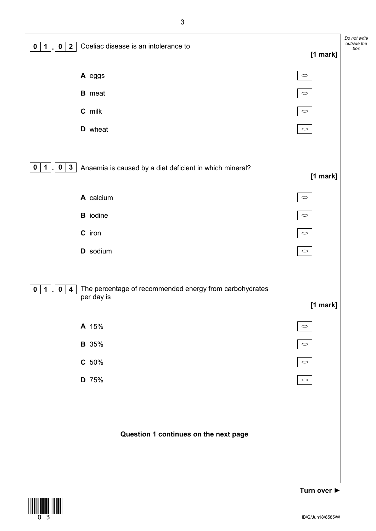



IB/G/Jun18/8585/W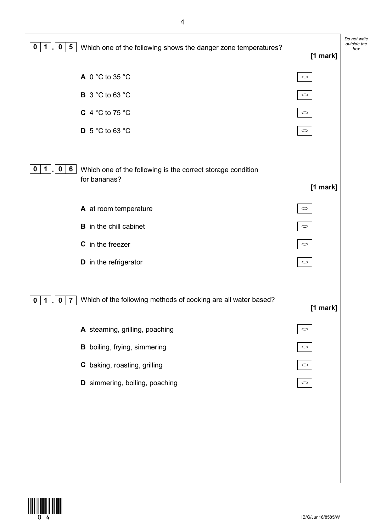

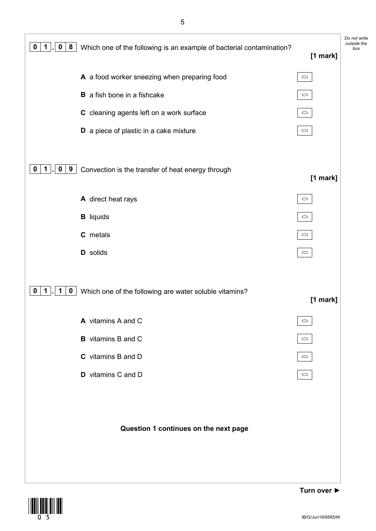*Do not write outside the* **<sup>0</sup> <sup>1</sup> . <sup>0</sup> <sup>8</sup>** Which one of the following is an example of bacterial contamination? *box* **[1 mark] A** a food worker sneezing when preparing food  $\circlearrowright$ **B** a fish bone in a fishcake  $\circ$ **C** cleaning agents left on a work surface  $\circ$ **D** a piece of plastic in a cake mixture  $\circ$ **0 1 . 0 9** Convection is the transfer of heat energy through **[1 mark] A** direct heat rays  $\circ$  $\circ$ **B** liquids **C** metals  $\bigcirc$ **D** solids  $\circ$ **0 1 . 1 0** Which one of the following are water soluble vitamins? **[1 mark] A** vitamins A and C  $\circ$ 

#### **Question 1 continues on the next page**

**B** vitamins B and C

**C** vitamins B and D

**D** vitamins C and D



 $\circ$ 

 $\circ$ 

 $\circlearrowright$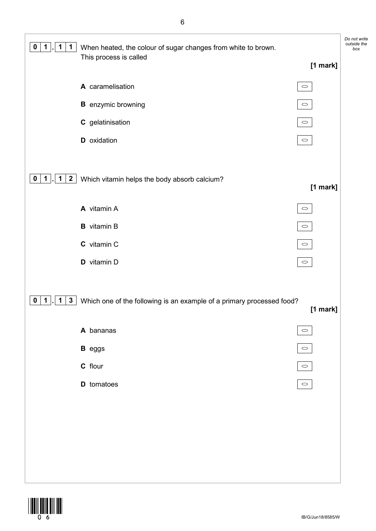| $\mathbf 1$<br>$\mathbf 1$<br>$\mathbf 1$<br>$\mathbf 0$      | When heated, the colour of sugar changes from white to brown.<br>This process is called |                     | Do not write<br>outside the<br>box |
|---------------------------------------------------------------|-----------------------------------------------------------------------------------------|---------------------|------------------------------------|
|                                                               |                                                                                         | $[1$ mark]          |                                    |
|                                                               | A caramelisation                                                                        | $\circ$             |                                    |
|                                                               | <b>B</b> enzymic browning                                                               | $\circ$             |                                    |
|                                                               | C gelatinisation                                                                        | $\circ$             |                                    |
|                                                               | D oxidation                                                                             | $\circ$             |                                    |
|                                                               |                                                                                         |                     |                                    |
| $\overline{2}$<br>1<br>$\mathbf{1}$<br>$\mathbf{0}$           | Which vitamin helps the body absorb calcium?                                            | [1 mark]            |                                    |
|                                                               | A vitamin A                                                                             | $\circ$             |                                    |
|                                                               | <b>B</b> vitamin B                                                                      | $\circ$             |                                    |
|                                                               | C vitamin C                                                                             | $\circ$             |                                    |
|                                                               | D vitamin D                                                                             | $\circ$             |                                    |
|                                                               |                                                                                         |                     |                                    |
| 1 <sub>1</sub><br>$\mathbf{3}$<br>$\mathbf 1$<br>$\mathbf{0}$ | Which one of the following is an example of a primary processed food?                   | [1 mark]            |                                    |
|                                                               | A bananas                                                                               | $\circlearrowright$ |                                    |
|                                                               | <b>B</b> eggs                                                                           | $\circ$             |                                    |
|                                                               | C flour                                                                                 | $\circ$             |                                    |
|                                                               | D tomatoes                                                                              | $\circ$             |                                    |
|                                                               |                                                                                         |                     |                                    |
|                                                               |                                                                                         |                     |                                    |
|                                                               |                                                                                         |                     |                                    |
|                                                               |                                                                                         |                     |                                    |
|                                                               |                                                                                         |                     |                                    |

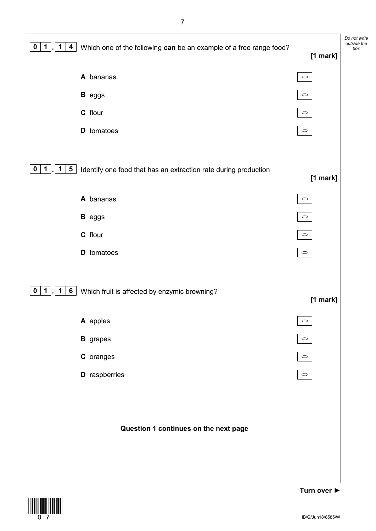| $\boldsymbol{0}$<br>$\mathbf 1$<br>$\overline{\mathbf{4}}$<br>1 | Which one of the following can be an example of a free range food? | [1 mark]            | Do not write<br>outside the<br>box |
|-----------------------------------------------------------------|--------------------------------------------------------------------|---------------------|------------------------------------|
|                                                                 | A bananas                                                          | $\circlearrowright$ |                                    |
|                                                                 | <b>B</b> eggs                                                      | $\circlearrowright$ |                                    |
|                                                                 | C flour                                                            | $\circlearrowright$ |                                    |
|                                                                 | D tomatoes                                                         | $\circlearrowright$ |                                    |
| $\mathbf 1$<br>$5\phantom{.0}$<br>$\mathbf 0$<br>$\mathbf 1$    | Identify one food that has an extraction rate during production    | [1 mark]            |                                    |
|                                                                 | A bananas                                                          | $\circ$             |                                    |
|                                                                 | <b>B</b> eggs                                                      | $\circlearrowright$ |                                    |
|                                                                 | C flour                                                            | $\circlearrowright$ |                                    |
|                                                                 | <b>D</b> tomatoes                                                  | $\circ$             |                                    |
| $\overline{1}$<br>$6\overline{6}$<br>$\mathbf 0$<br>$\mathbf 1$ | Which fruit is affected by enzymic browning?                       | [1 mark]            |                                    |
|                                                                 | A apples                                                           | $\circlearrowright$ |                                    |
|                                                                 | <b>B</b> grapes                                                    | $\circlearrowright$ |                                    |
|                                                                 | C oranges                                                          | $\circlearrowright$ |                                    |
|                                                                 | <b>D</b> raspberries                                               | $\circlearrowright$ |                                    |
|                                                                 | Question 1 continues on the next page                              |                     |                                    |

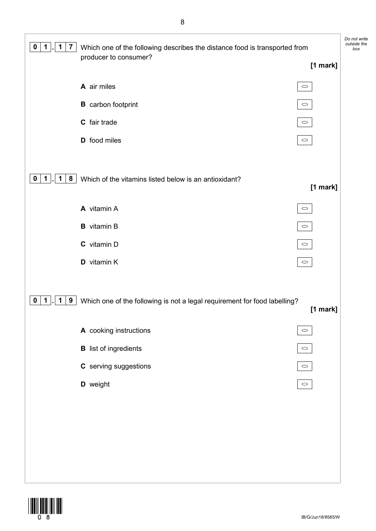| $\mathbf 1$<br>$\overline{7}$<br>$\mathbf 1$<br>0 | Which one of the following describes the distance food is transported from<br>producer to consumer? |                     | Do not write<br>outside the<br>box |
|---------------------------------------------------|-----------------------------------------------------------------------------------------------------|---------------------|------------------------------------|
|                                                   |                                                                                                     | [1 mark]            |                                    |
|                                                   | A air miles                                                                                         | $\circlearrowright$ |                                    |
|                                                   | <b>B</b> carbon footprint                                                                           | $\circ$             |                                    |
|                                                   | C fair trade                                                                                        | $\circlearrowright$ |                                    |
|                                                   | D food miles                                                                                        | $\circlearrowright$ |                                    |
|                                                   |                                                                                                     |                     |                                    |
| 8<br>$\mathbf 1$<br>1<br>$\mathbf 0$              | Which of the vitamins listed below is an antioxidant?                                               | [1 mark]            |                                    |
|                                                   | A vitamin A                                                                                         | $\circlearrowright$ |                                    |
|                                                   | <b>B</b> vitamin B                                                                                  | $\circ$             |                                    |
|                                                   | C vitamin D                                                                                         | $\circlearrowright$ |                                    |
|                                                   | D vitamin K                                                                                         | $\circlearrowright$ |                                    |
|                                                   |                                                                                                     |                     |                                    |
| $\mathbf 1$<br>9<br>$\mathbf 1$<br>$\mathbf 0$    | Which one of the following is not a legal requirement for food labelling?                           |                     |                                    |
|                                                   |                                                                                                     | [1 mark]            |                                    |
|                                                   | A cooking instructions                                                                              | $\circ$             |                                    |
|                                                   | <b>B</b> list of ingredients                                                                        | $\circlearrowright$ |                                    |
|                                                   | C serving suggestions                                                                               | $\circlearrowright$ |                                    |
|                                                   | D weight                                                                                            | $\circ$             |                                    |
|                                                   |                                                                                                     |                     |                                    |
|                                                   |                                                                                                     |                     |                                    |
|                                                   |                                                                                                     |                     |                                    |
|                                                   |                                                                                                     |                     |                                    |
|                                                   |                                                                                                     |                     |                                    |

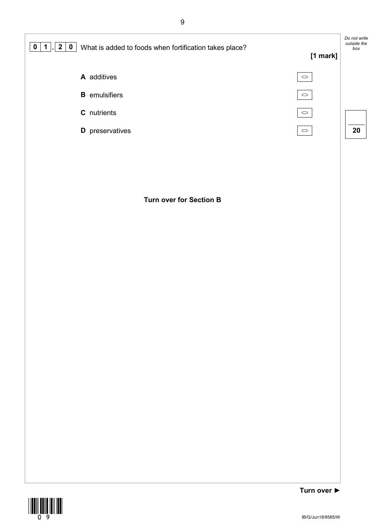

#### **Turn over for Section B**

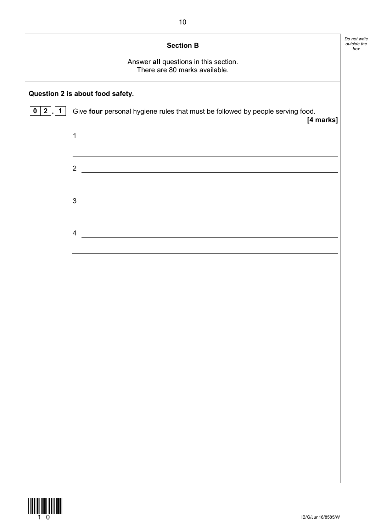|                      | <b>Section B</b><br>Answer all questions in this section.<br>There are 80 marks available.                                                                                                             | Do not write<br>outside the<br>box |
|----------------------|--------------------------------------------------------------------------------------------------------------------------------------------------------------------------------------------------------|------------------------------------|
|                      | Question 2 is about food safety.                                                                                                                                                                       |                                    |
| 0   2  <br>$\vert$ 1 | Give four personal hygiene rules that must be followed by people serving food.<br>[4 marks]                                                                                                            |                                    |
|                      | 1<br><u> 1989 - Johann Barbara, martin amerikan basal dan berasal dalam basal dan berasal dalam basal dalam basal dala</u>                                                                             |                                    |
|                      | <u> 1989 - Johann Stoff, amerikansk politiker (d. 1989)</u><br>$\overline{2}$<br><u> 1989 - Johann Harry Harry Harry Harry Harry Harry Harry Harry Harry Harry Harry Harry Harry Harry Harry Harry</u> |                                    |
|                      | $3 \overline{\phantom{a}}$                                                                                                                                                                             |                                    |
|                      | <u> 1989 - Johann Stoff, amerikansk politiker (d. 1989)</u><br>4<br><u> 1989 - Johann Stoff, deutscher Stoffen und der Stoffen und der Stoffen und der Stoffen und der Stoffen und der</u>             |                                    |
|                      |                                                                                                                                                                                                        |                                    |
|                      |                                                                                                                                                                                                        |                                    |
|                      |                                                                                                                                                                                                        |                                    |
|                      |                                                                                                                                                                                                        |                                    |
|                      |                                                                                                                                                                                                        |                                    |
|                      |                                                                                                                                                                                                        |                                    |
|                      |                                                                                                                                                                                                        |                                    |
|                      |                                                                                                                                                                                                        |                                    |

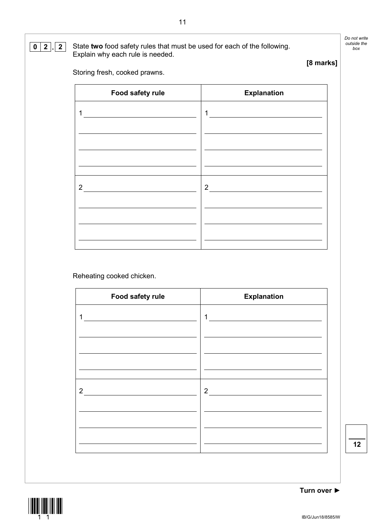#### **0 2 . 2** State **two** food safety rules that must be used for each of the following. Explain why each rule is needed.

*Do not write* 

Storing fresh, cooked prawns.

| Food safety rule | <b>Explanation</b> |
|------------------|--------------------|
| 1                | 1                  |
|                  |                    |
|                  |                    |
|                  |                    |
|                  |                    |
| $\overline{2}$   | $\overline{2}$     |
|                  |                    |
|                  |                    |
|                  |                    |

Reheating cooked chicken.

| Food safety rule | <b>Explanation</b> |
|------------------|--------------------|
| 1                | 1                  |
|                  |                    |
|                  |                    |
| $\mathcal{P}$    | $\overline{2}$     |
|                  |                    |
|                  |                    |





**Turn over ►**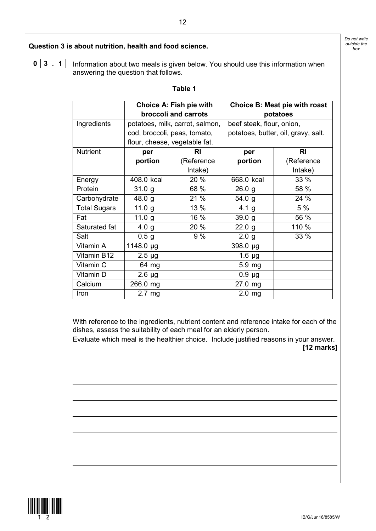*Do not write* 

### **Ouestion 3 is about nutrition, health and food science.**  $\int_{\text{box}}^{\text{outside}}$

**0 3 . 1** Information about two meals is given below. You should use this information when answering the question that follows.

#### **Table 1**

|                     | Choice A: Fish pie with       |                                 | <b>Choice B: Meat pie with roast</b> |                                     |  |
|---------------------|-------------------------------|---------------------------------|--------------------------------------|-------------------------------------|--|
|                     | broccoli and carrots          |                                 | potatoes                             |                                     |  |
| Ingredients         |                               | potatoes, milk, carrot, salmon, | beef steak, flour, onion,            |                                     |  |
|                     | cod, broccoli, peas, tomato,  |                                 |                                      | potatoes, butter, oil, gravy, salt. |  |
|                     | flour, cheese, vegetable fat. |                                 |                                      |                                     |  |
| <b>Nutrient</b>     | per                           | RI                              | per                                  | <b>RI</b>                           |  |
|                     | portion                       | (Reference                      | portion                              | (Reference                          |  |
|                     |                               | Intake)                         |                                      | Intake)                             |  |
| Energy              | 408.0 kcal                    | 20 %                            | 668.0 kcal                           | 33 %                                |  |
| Protein             | 31.0 g                        | 68 %                            | 26.0 g                               | 58 %                                |  |
| Carbohydrate        | 48.0 $g$                      | 21 %                            | 54.0 g                               | 24 %                                |  |
| <b>Total Sugars</b> | 11.0 $g$                      | 13 %                            | 4.1 <sub>g</sub>                     | 5 %                                 |  |
| Fat                 | 11.0 $g$                      | 16 %                            | 39.0 g                               | 56 %                                |  |
| Saturated fat       | 4.0 <sub>g</sub>              | 20 %                            | 22.0 g                               | 110 %                               |  |
| Salt                | 0.5 <sub>g</sub>              | 9%                              | 2.0 <sub>g</sub>                     | 33 %                                |  |
| Vitamin A           | 1148.0 µg                     |                                 | 398.0 µg                             |                                     |  |
| Vitamin B12         | $2.5 \mu g$                   |                                 | $1.6 \mu g$                          |                                     |  |
| Vitamin C           | 64 mg                         |                                 | 5.9 mg                               |                                     |  |
| Vitamin D           | $2.6 \mu g$                   |                                 | $0.9 \mu g$                          |                                     |  |
| Calcium             | 266.0 mg                      |                                 | 27.0 mg                              |                                     |  |
| Iron                | $2.7 \text{ mg}$              |                                 | $2.0 \, \text{mg}$                   |                                     |  |

With reference to the ingredients, nutrient content and reference intake for each of the dishes, assess the suitability of each meal for an elderly person.

Evaluate which meal is the healthier choice. Include justified reasons in your answer. **[12 marks]**



IB/G/Jun18/8585/W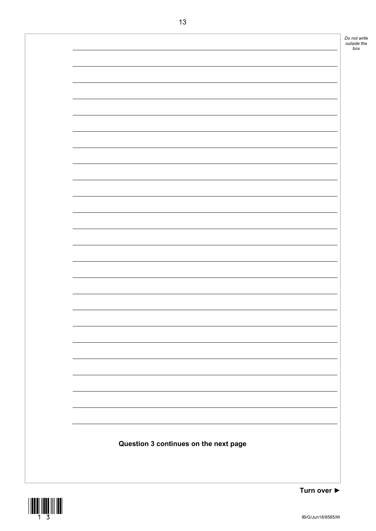



**Turn over ►**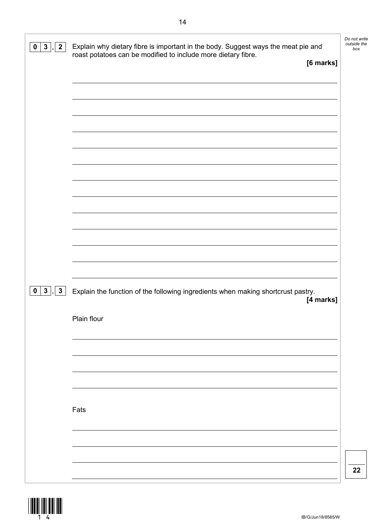| $2\overline{ }$<br>$\mathbf{3}$<br>$\mathbf 0$ | Explain why dietary fibre is important in the body. Suggest ways the meat pie and<br>roast potatoes can be modified to include more dietary fibre.<br>[6 marks] | Do not write<br>outside the<br>box |
|------------------------------------------------|-----------------------------------------------------------------------------------------------------------------------------------------------------------------|------------------------------------|
|                                                |                                                                                                                                                                 |                                    |
|                                                |                                                                                                                                                                 |                                    |
| $0 \mid 3 \mid$<br>$\vert$ . 3                 | Explain the function of the following ingredients when making shortcrust pastry.<br>[4 marks]<br>Plain flour                                                    |                                    |
|                                                |                                                                                                                                                                 |                                    |
|                                                | Fats                                                                                                                                                            |                                    |
|                                                |                                                                                                                                                                 | 22                                 |

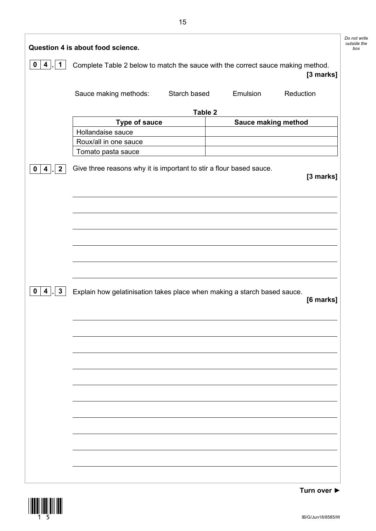|                                                        | Question 4 is about food science.                                               |              |                            |           | Do not write<br>outside the<br>box |
|--------------------------------------------------------|---------------------------------------------------------------------------------|--------------|----------------------------|-----------|------------------------------------|
| $\mathbf 0$<br>$\overline{\mathbf{4}}$<br>$\mathbf 1$  | Complete Table 2 below to match the sauce with the correct sauce making method. |              |                            | [3 marks] |                                    |
|                                                        | Sauce making methods:                                                           | Starch based | Emulsion                   | Reduction |                                    |
|                                                        |                                                                                 | Table 2      |                            |           |                                    |
|                                                        | <b>Type of sauce</b>                                                            |              | <b>Sauce making method</b> |           |                                    |
|                                                        | Hollandaise sauce                                                               |              |                            |           |                                    |
|                                                        | Roux/all in one sauce                                                           |              |                            |           |                                    |
|                                                        | Tomato pasta sauce                                                              |              |                            |           |                                    |
| $\mathbf{2}$<br>$\overline{\mathbf{4}}$<br>$\mathbf 0$ | Give three reasons why it is important to stir a flour based sauce.             |              |                            | [3 marks] |                                    |
|                                                        |                                                                                 |              |                            |           |                                    |
|                                                        |                                                                                 |              |                            |           |                                    |
|                                                        |                                                                                 |              |                            |           |                                    |
|                                                        |                                                                                 |              |                            |           |                                    |
|                                                        |                                                                                 |              |                            |           |                                    |
|                                                        |                                                                                 |              |                            |           |                                    |
|                                                        |                                                                                 |              |                            |           |                                    |
|                                                        |                                                                                 |              |                            |           |                                    |
| $\mathbf{3}$<br>$\overline{\mathbf{4}}$<br>$\mathbf 0$ | Explain how gelatinisation takes place when making a starch based sauce.        |              |                            | [6 marks] |                                    |
|                                                        |                                                                                 |              |                            |           |                                    |
|                                                        |                                                                                 |              |                            |           |                                    |
|                                                        |                                                                                 |              |                            |           |                                    |
|                                                        |                                                                                 |              |                            |           |                                    |
|                                                        |                                                                                 |              |                            |           |                                    |
|                                                        |                                                                                 |              |                            |           |                                    |
|                                                        |                                                                                 |              |                            |           |                                    |
|                                                        |                                                                                 |              |                            |           |                                    |
|                                                        |                                                                                 |              |                            |           |                                    |
|                                                        |                                                                                 |              |                            |           |                                    |
|                                                        |                                                                                 |              |                            |           |                                    |
|                                                        |                                                                                 |              |                            |           |                                    |
|                                                        |                                                                                 |              |                            |           |                                    |
|                                                        |                                                                                 |              |                            |           |                                    |
|                                                        |                                                                                 |              |                            |           |                                    |
|                                                        |                                                                                 |              |                            |           |                                    |
|                                                        |                                                                                 |              |                            |           |                                    |

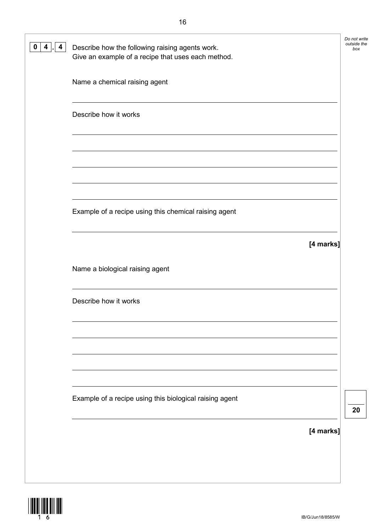| 0<br>4<br>4 | Describe how the following raising agents work.<br>Give an example of a recipe that uses each method. | Do not write<br>outside the<br>box |
|-------------|-------------------------------------------------------------------------------------------------------|------------------------------------|
|             | Name a chemical raising agent                                                                         |                                    |
|             | Describe how it works                                                                                 |                                    |
|             |                                                                                                       |                                    |
|             |                                                                                                       |                                    |
|             | Example of a recipe using this chemical raising agent                                                 |                                    |
|             | [4 marks]                                                                                             |                                    |
|             | Name a biological raising agent                                                                       |                                    |
|             | Describe how it works                                                                                 |                                    |
|             |                                                                                                       |                                    |
|             |                                                                                                       |                                    |
|             | Example of a recipe using this biological raising agent                                               | 20                                 |
|             | [4 marks]                                                                                             |                                    |
|             |                                                                                                       |                                    |
|             |                                                                                                       |                                    |

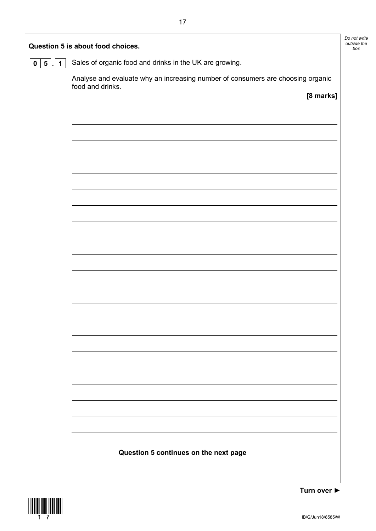| Question 5 is about food choices.            |                                                                                                     |  |  |  |
|----------------------------------------------|-----------------------------------------------------------------------------------------------------|--|--|--|
| 5 <sup>5</sup><br>$\mathbf 1$<br>$\mathbf 0$ | Sales of organic food and drinks in the UK are growing.                                             |  |  |  |
|                                              | Analyse and evaluate why an increasing number of consumers are choosing organic<br>food and drinks. |  |  |  |
|                                              | [8 marks]                                                                                           |  |  |  |
|                                              |                                                                                                     |  |  |  |
|                                              |                                                                                                     |  |  |  |
|                                              |                                                                                                     |  |  |  |
|                                              |                                                                                                     |  |  |  |
|                                              |                                                                                                     |  |  |  |
|                                              |                                                                                                     |  |  |  |
|                                              |                                                                                                     |  |  |  |
|                                              |                                                                                                     |  |  |  |
|                                              |                                                                                                     |  |  |  |
|                                              |                                                                                                     |  |  |  |
|                                              |                                                                                                     |  |  |  |
|                                              |                                                                                                     |  |  |  |
|                                              |                                                                                                     |  |  |  |
|                                              |                                                                                                     |  |  |  |
|                                              |                                                                                                     |  |  |  |
|                                              |                                                                                                     |  |  |  |
|                                              |                                                                                                     |  |  |  |
|                                              |                                                                                                     |  |  |  |
|                                              |                                                                                                     |  |  |  |
|                                              |                                                                                                     |  |  |  |
|                                              | Question 5 continues on the next page                                                               |  |  |  |
|                                              |                                                                                                     |  |  |  |
|                                              |                                                                                                     |  |  |  |



**Turn over ►**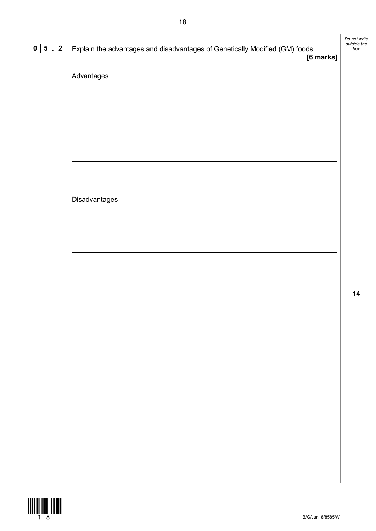| $\mathbf{2}$<br>$5\phantom{.0}$<br>$\mathbf{0}$ | Explain the advantages and disadvantages of Genetically Modified (GM) foods.<br>[6 marks] | Do not write<br>outside the<br>box |
|-------------------------------------------------|-------------------------------------------------------------------------------------------|------------------------------------|
|                                                 | Advantages                                                                                |                                    |
|                                                 |                                                                                           |                                    |
|                                                 |                                                                                           |                                    |
|                                                 |                                                                                           |                                    |
|                                                 | Disadvantages                                                                             |                                    |
|                                                 |                                                                                           |                                    |
|                                                 |                                                                                           |                                    |
|                                                 |                                                                                           | 14                                 |
|                                                 |                                                                                           |                                    |
|                                                 |                                                                                           |                                    |
|                                                 |                                                                                           |                                    |
|                                                 |                                                                                           |                                    |
|                                                 |                                                                                           |                                    |
|                                                 |                                                                                           |                                    |
|                                                 |                                                                                           |                                    |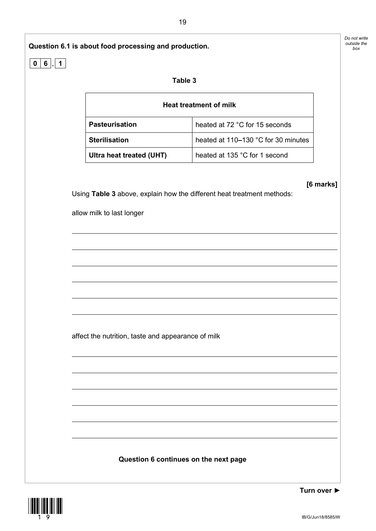



IB/G/Jun18/8585/W